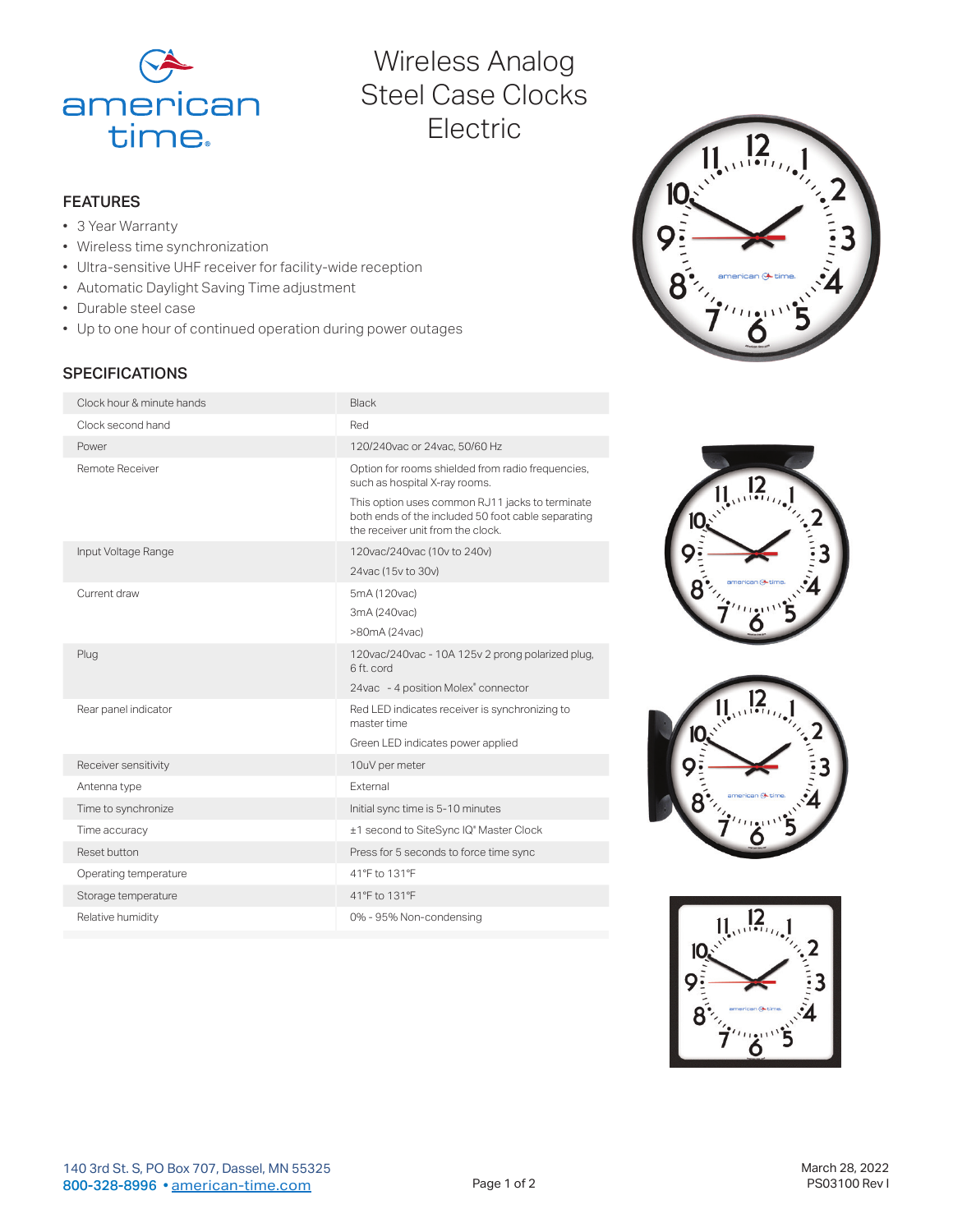

# Wireless Analog Steel Case Clocks Electric

## FEATURES

- 3 Year Warranty
- Wireless time synchronization
- Ultra-sensitive UHF receiver for facility-wide reception
- Automatic Daylight Saving Time adjustment
- Durable steel case
- Up to one hour of continued operation during power outages

# **SPECIFICATIONS**

| Clock hour & minute hands | <b>Black</b>                                                                                                                               |
|---------------------------|--------------------------------------------------------------------------------------------------------------------------------------------|
| Clock second hand         | Red                                                                                                                                        |
| Power                     | 120/240vac or 24vac, 50/60 Hz                                                                                                              |
| Remote Receiver           | Option for rooms shielded from radio frequencies,<br>such as hospital X-ray rooms.                                                         |
|                           | This option uses common RJ11 jacks to terminate<br>both ends of the included 50 foot cable separating<br>the receiver unit from the clock. |
| Input Voltage Range       | 120vac/240vac (10v to 240v)                                                                                                                |
|                           | 24vac (15v to 30v)                                                                                                                         |
| Current draw              | 5mA (120vac)                                                                                                                               |
|                           | 3mA (240vac)                                                                                                                               |
|                           | >80mA (24vac)                                                                                                                              |
| Plug                      | 120vac/240vac - 10A 125v 2 prong polarized plug,<br>6 ft. cord                                                                             |
|                           | 24vac - 4 position Molex® connector                                                                                                        |
| Rear panel indicator      | Red LED indicates receiver is synchronizing to<br>master time                                                                              |
|                           | Green LED indicates power applied                                                                                                          |
| Receiver sensitivity      | 10uV per meter                                                                                                                             |
| Antenna type              | External                                                                                                                                   |
| Time to synchronize       | Initial sync time is 5-10 minutes                                                                                                          |
| Time accuracy             | ±1 second to SiteSync IQ® Master Clock                                                                                                     |
| Reset button              | Press for 5 seconds to force time sync                                                                                                     |
| Operating temperature     | 41°F to 131°F                                                                                                                              |
| Storage temperature       | 41°F to 131°F                                                                                                                              |
| Relative humidity         | 0% - 95% Non-condensing                                                                                                                    |
|                           |                                                                                                                                            |